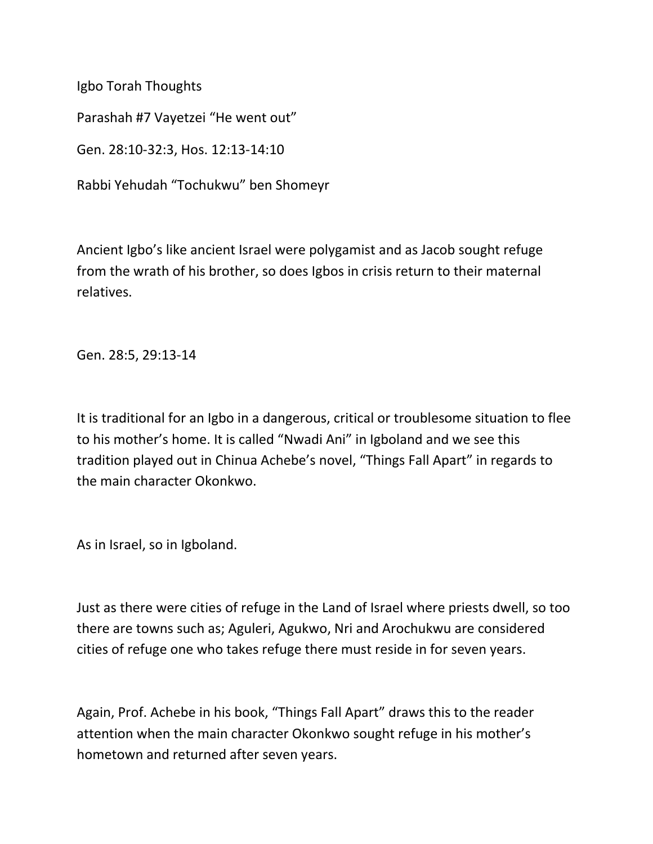Igbo Torah Thoughts

Parashah #7 Vayetzei "He went out"

Gen. 28:10-32:3, Hos. 12:13-14:10

Rabbi Yehudah "Tochukwu" ben Shomeyr

Ancient Igbo's like ancient Israel were polygamist and as Jacob sought refuge from the wrath of his brother, so does Igbos in crisis return to their maternal relatives.

Gen. 28:5, 29:13-14

It is traditional for an Igbo in a dangerous, critical or troublesome situation to flee to his mother's home. It is called "Nwadi Ani" in Igboland and we see this tradition played out in Chinua Achebe's novel, "Things Fall Apart" in regards to the main character Okonkwo.

As in Israel, so in Igboland.

Just as there were cities of refuge in the Land of Israel where priests dwell, so too there are towns such as; Aguleri, Agukwo, Nri and Arochukwu are considered cities of refuge one who takes refuge there must reside in for seven years.

Again, Prof. Achebe in his book, "Things Fall Apart" draws this to the reader attention when the main character Okonkwo sought refuge in his mother's hometown and returned after seven years.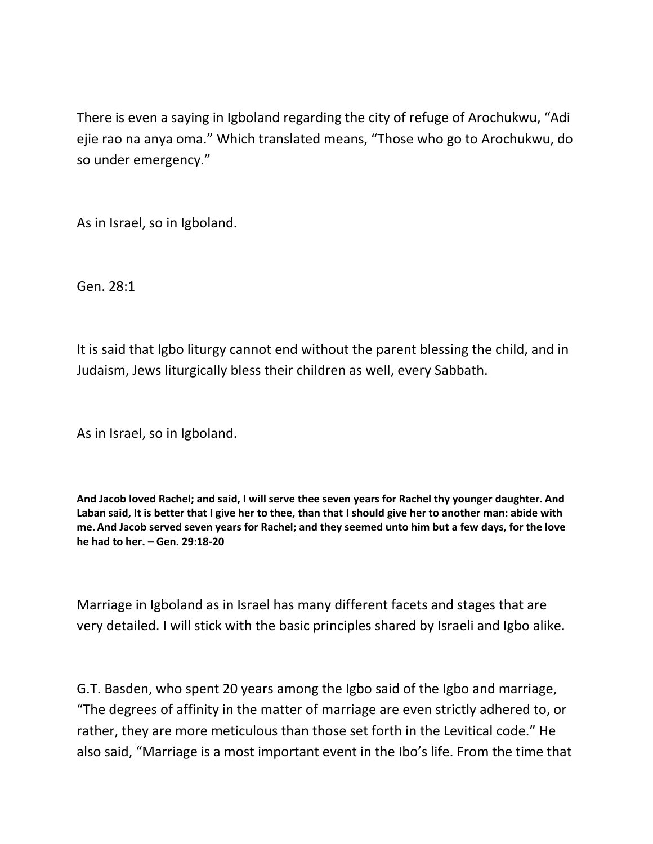There is even a saying in Igboland regarding the city of refuge of Arochukwu, "Adi ejie rao na anya oma." Which translated means, "Those who go to Arochukwu, do so under emergency."

As in Israel, so in Igboland.

Gen. 28:1

It is said that Igbo liturgy cannot end without the parent blessing the child, and in Judaism, Jews liturgically bless their children as well, every Sabbath.

As in Israel, so in Igboland.

**And Jacob loved Rachel; and said, I will serve thee seven years for Rachel thy younger daughter. And Laban said, It is better that I give her to thee, than that I should give her to another man: abide with me.And Jacob served seven years for Rachel; and they seemed unto him but a few days, for the love he had to her. – Gen. 29:18-20**

Marriage in Igboland as in Israel has many different facets and stages that are very detailed. I will stick with the basic principles shared by Israeli and Igbo alike.

G.T. Basden, who spent 20 years among the Igbo said of the Igbo and marriage, "The degrees of affinity in the matter of marriage are even strictly adhered to, or rather, they are more meticulous than those set forth in the Levitical code." He also said, "Marriage is a most important event in the Ibo's life. From the time that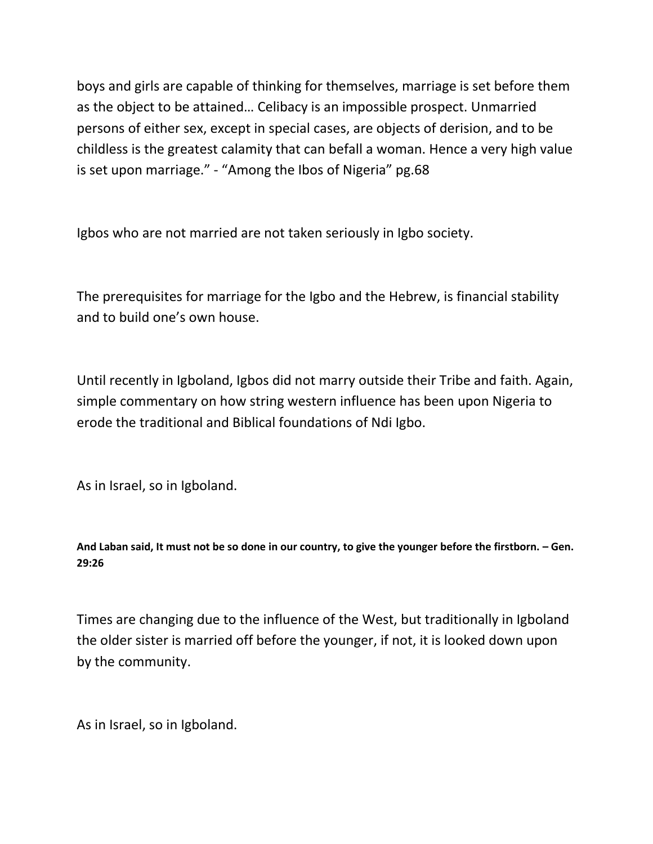boys and girls are capable of thinking for themselves, marriage is set before them as the object to be attained… Celibacy is an impossible prospect. Unmarried persons of either sex, except in special cases, are objects of derision, and to be childless is the greatest calamity that can befall a woman. Hence a very high value is set upon marriage." - "Among the Ibos of Nigeria" pg.68

Igbos who are not married are not taken seriously in Igbo society.

The prerequisites for marriage for the Igbo and the Hebrew, is financial stability and to build one's own house.

Until recently in Igboland, Igbos did not marry outside their Tribe and faith. Again, simple commentary on how string western influence has been upon Nigeria to erode the traditional and Biblical foundations of Ndi Igbo.

As in Israel, so in Igboland.

And Laban said, It must not be so done in our country, to give the younger before the firstborn. - Gen. **29:26**

Times are changing due to the influence of the West, but traditionally in Igboland the older sister is married off before the younger, if not, it is looked down upon by the community.

As in Israel, so in Igboland.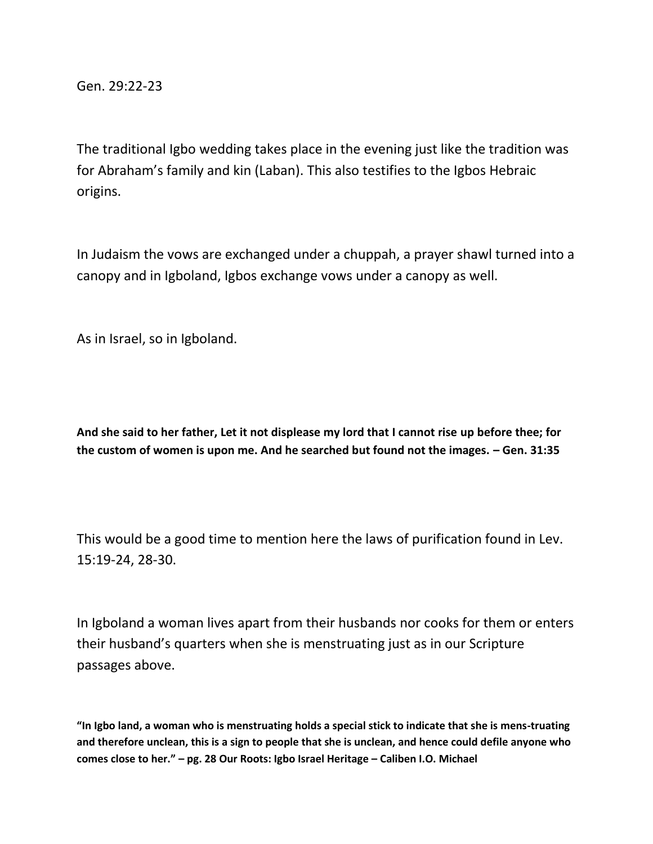Gen. 29:22-23

The traditional Igbo wedding takes place in the evening just like the tradition was for Abraham's family and kin (Laban). This also testifies to the Igbos Hebraic origins.

In Judaism the vows are exchanged under a chuppah, a prayer shawl turned into a canopy and in Igboland, Igbos exchange vows under a canopy as well.

As in Israel, so in Igboland.

**And she said to her father, Let it not displease my lord that I cannot rise up before thee; for the custom of women is upon me. And he searched but found not the images. – Gen. 31:35**

This would be a good time to mention here the laws of purification found in Lev. 15:19-24, 28-30.

In Igboland a woman lives apart from their husbands nor cooks for them or enters their husband's quarters when she is menstruating just as in our Scripture passages above.

**"In Igbo land, a woman who is menstruating holds a special stick to indicate that she is mens-truating and therefore unclean, this is a sign to people that she is unclean, and hence could defile anyone who comes close to her." – pg. 28 Our Roots: Igbo Israel Heritage – Caliben I.O. Michael**